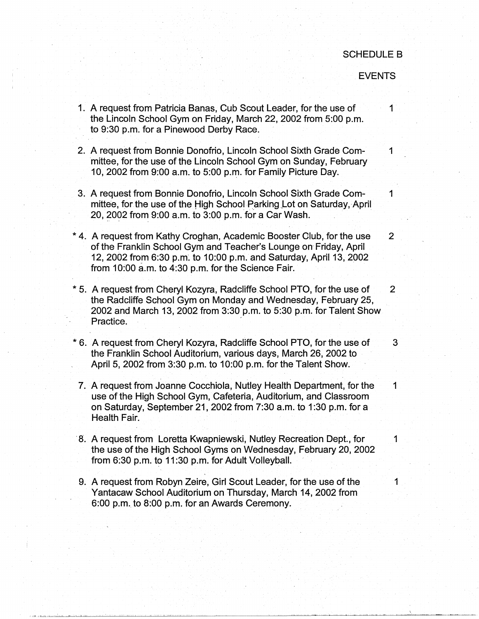## SCHEDULE B

## EVENTS

- 1. A request from Patricia Banas, Cub Scout Leader, for the use of 1 the Lincoln School Gym on Friday, March 22, 2002 from 5:00 p.m. to 9:30 p.m. for a Pinewood Derby Race.
- 2. A request from Bonnie Donofrio, Lincoln School Sixth Grade Com-<br>
1 mittee, for the use of the Lincoln School Gym on Sunday, February 10, 2002 from 9:00 a.m. to 5:00 p.m. for Family Picture Day.
- 3. A request from Bonnie Donofrio, Lincoln School Sixth Grade Com-<br>1 mittee, for the use of the High School Parking Lot on Saturday, April 20, ?002 from 9:00 a.m. to 3:00 p.m. for a Car Wash.
- \* 4. A request from Kathy Croghan, Academic Booster Club, for the use 2 of the Franklin School Gym and Teacher's Lounge on Friday, April 12, 2002 from 6:30 p.m: to 10:00 p.m. and Saturday, April 13, 2002 from 10:00 a.m. to 4:30 p.m. for the Science Fair.
- \* 5. A request from Cheryl Kozyra, Radcliffe School PTO, for the use of 2 the Radcliffe School Gym on Monday and Wednesday, February 25, 2002 and March 13, 2002 from 3:30 p.m. to 5:30 p.m. for Talent Show Practice.
- \* 6. A request from Cheryl Kozyra, Radcliffe School PTO, for the use of 3 the Franklin School Auditorium, various days, March 26, 2002 to April 5, 2002 from 3:30 p.m. to 10:00 p.m. for the Talent Show.
- 7. A request from Joanne Cocchiola, Nutley Health Department, for the 1 use of the High School Gym, Cafeteria, Auditorium, and Classroom on Saturday, September 21, 2002 from 7:30 a.m. to 1 :30 p.m. for a Health Fair.
- 8. A request from Loretta Kwapniewski, Nutley Recreation Dept., for 1 the use of the High School Gyms on Wednesday, February 20, 2002 from 6:30 p.m. to 11 :30 p.m. for Adult Volleyball.
- 9. A request from Robyn Zeire, Girl Scout Leader, for the use of the 11 Yantacaw School Auditorium on Thursday, March 14, 2002 from 6:00 p.m. to 8:00 p.m. for an Awards Ceremony.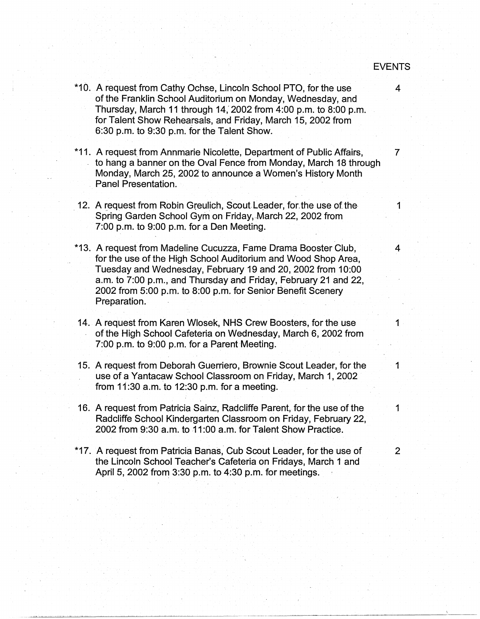- \*10. A request from Cathy Ochse, Lincoln School PTO, for the use 4 of the Franklin School Auditorium on Monday, Wednesday, and Thursday, March 11 through 14,' 2002 from 4:00 p.m. to 8:00 p.m. for Talent Show Rehearsals, and Friday, March 15, 2002 from  $6:30$  p.m. to  $9:30$  p.m. for the Talent Show.
- \*11. A request from Annmarie Nicolette, Department of Public Affairs, 7 to hang a banner on the Oval Fence from Monday, March 18 through Monday, March 25, 2002 to announce a Women's History Month Panel Presentation.
- 12. A request from Robin Greulich, Scout Leader, for the use of the 1 Spring Garden School Gym on Friday, March 22, 2002 from 7:00 p.m. to 9:00 p.m. for a Den Meeting.
- \*13. A request from Madeline Cucuzza, Fame Drama Booster Club, 4 for the use of the High School Auditorium and Wood Shop Area, Tuesday and Wednesday, February 19 and 20, 2002 from 10:00 a.m. to 7:00 p.m., and Thursday and Friday, February 21 and 22, 2002 from 5:00 p.m. to 8:00 p.m. for Senior Benefit Scenery Preparation.
- 14. A request from Karen Wlosek, NHS Crew Boosters, for the use 1 . of the High School Cafeteria on Wednesday, March 6, 2002 from 7:00 p.m. to 9:00 p.m. for a Parent Meeting.
- 15. A request from Deborah Guerriero, Brownie Scout Leader, for the 1 use of a Yantacaw School Classroom on Friday, March 1, 2002 from 11 :30 a.m. to 12:30 p.m. for a meeting.
- 16. A request from Patricia Sainz, Radcliffe Parent, for the use of the 1 Radcliffe School Kindergarten Classroom on Friday, February 22, 2002 from 9:30 a.m. to 11:00 a.m. for Talent Show Practice.
- \*17. A request from Patricia Banas, Cub Scout Leader, for the use of 2 the Lincoln School Teacher's Cafeteria on Fridays, March 1 and April 5, 2002 from 3:30 p.m. to 4:30 p.m. for meetings.